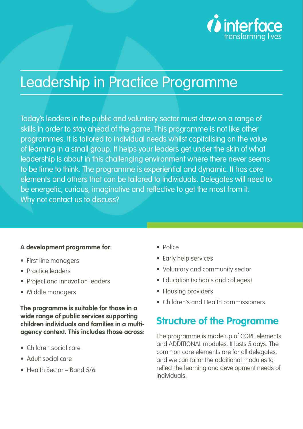

# Leadership in Practice Programme

Today's leaders in the public and voluntary sector must draw on a range of skills in order to stay ahead of the game. This programme is not like other programmes. It is tailored to individual needs whilst capitalising on the value of learning in a small group. It helps your leaders get under the skin of what leadership is about in this challenging environment where there never seems to be time to think. The programme is experiential and dynamic. It has core elements and others that can be tailored to individuals. Delegates will need to be energetic, curious, imaginative and reflective to get the most from it. Why not contact us to discuss?

#### **A development programme for:**

- First line managers
- Practice leaders
- Project and innovation leaders
- Middle managers

**The programme is suitable for those in a wide range of public services supporting children individuals and families in a multiagency context. This includes those across:**

- Children social care
- Adult social care
- Health Sector Band 5/6
- Police
- Early help services
- Voluntary and community sector
- Education (schools and colleges)
- Housing providers
- Children's and Health commissioners

### **Structure of the Programme**

The programme is made up of CORE elements and ADDITIONAL modules. It lasts 5 days. The common core elements are for all delegates, and we can tailor the additional modules to reflect the learning and development needs of individuals.